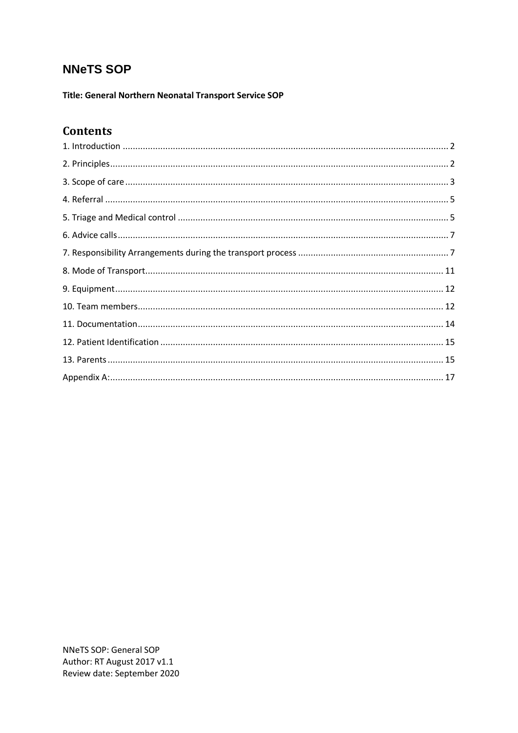# **NNeTS SOP**

Title: General Northern Neonatal Transport Service SOP

# **Contents**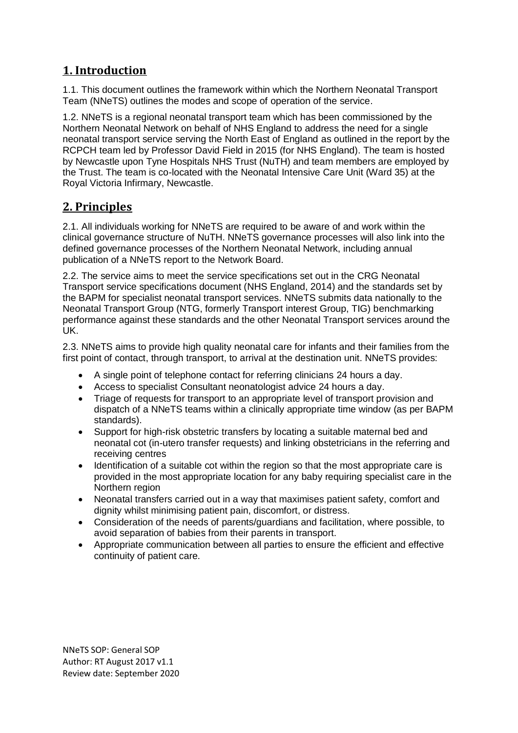# <span id="page-1-0"></span>**1. Introduction**

1.1. This document outlines the framework within which the Northern Neonatal Transport Team (NNeTS) outlines the modes and scope of operation of the service.

1.2. NNeTS is a regional neonatal transport team which has been commissioned by the Northern Neonatal Network on behalf of NHS England to address the need for a single neonatal transport service serving the North East of England as outlined in the report by the RCPCH team led by Professor David Field in 2015 (for NHS England). The team is hosted by Newcastle upon Tyne Hospitals NHS Trust (NuTH) and team members are employed by the Trust. The team is co-located with the Neonatal Intensive Care Unit (Ward 35) at the Royal Victoria Infirmary, Newcastle.

# <span id="page-1-1"></span>**2. Principles**

2.1. All individuals working for NNeTS are required to be aware of and work within the clinical governance structure of NuTH. NNeTS governance processes will also link into the defined governance processes of the Northern Neonatal Network, including annual publication of a NNeTS report to the Network Board.

2.2. The service aims to meet the service specifications set out in the CRG Neonatal Transport service specifications document (NHS England, 2014) and the standards set by the BAPM for specialist neonatal transport services. NNeTS submits data nationally to the Neonatal Transport Group (NTG, formerly Transport interest Group, TIG) benchmarking performance against these standards and the other Neonatal Transport services around the UK.

2.3. NNeTS aims to provide high quality neonatal care for infants and their families from the first point of contact, through transport, to arrival at the destination unit. NNeTS provides:

- A single point of telephone contact for referring clinicians 24 hours a day.
- Access to specialist Consultant neonatologist advice 24 hours a day.
- Triage of requests for transport to an appropriate level of transport provision and dispatch of a NNeTS teams within a clinically appropriate time window (as per BAPM standards).
- Support for high-risk obstetric transfers by locating a suitable maternal bed and neonatal cot (in-utero transfer requests) and linking obstetricians in the referring and receiving centres
- Identification of a suitable cot within the region so that the most appropriate care is provided in the most appropriate location for any baby requiring specialist care in the Northern region
- Neonatal transfers carried out in a way that maximises patient safety, comfort and dignity whilst minimising patient pain, discomfort, or distress.
- Consideration of the needs of parents/guardians and facilitation, where possible, to avoid separation of babies from their parents in transport.
- Appropriate communication between all parties to ensure the efficient and effective continuity of patient care.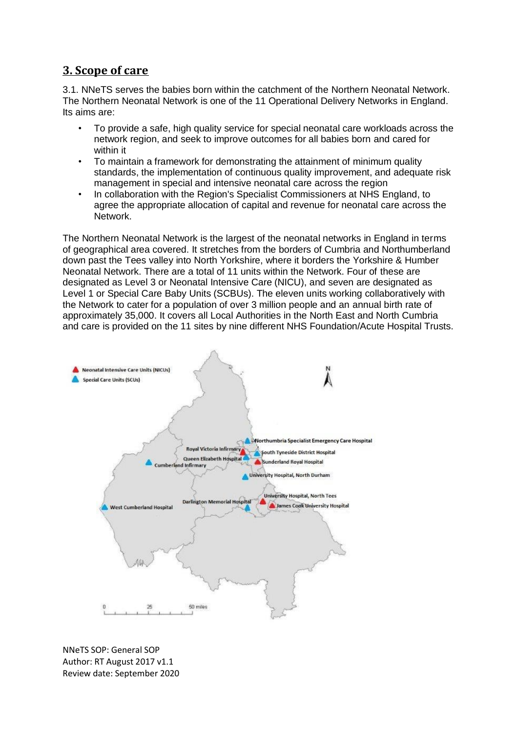# <span id="page-2-0"></span>**3. Scope of care**

3.1. NNeTS serves the babies born within the catchment of the Northern Neonatal Network. The Northern Neonatal Network is one of the 11 Operational Delivery Networks in England. Its aims are:

- To provide a safe, high quality service for special neonatal care workloads across the network region, and seek to improve outcomes for all babies born and cared for within it
- To maintain a framework for demonstrating the attainment of minimum quality standards, the implementation of continuous quality improvement, and adequate risk management in special and intensive neonatal care across the region
- In collaboration with the Region's Specialist Commissioners at NHS England, to agree the appropriate allocation of capital and revenue for neonatal care across the Network.

The Northern Neonatal Network is the largest of the neonatal networks in England in terms of geographical area covered. It stretches from the borders of Cumbria and Northumberland down past the Tees valley into North Yorkshire, where it borders the Yorkshire & Humber Neonatal Network. There are a total of 11 units within the Network. Four of these are designated as Level 3 or Neonatal Intensive Care (NICU), and seven are designated as Level 1 or Special Care Baby Units (SCBUs). The eleven units working collaboratively with the Network to cater for a population of over 3 million people and an annual birth rate of approximately 35,000. It covers all Local Authorities in the North East and North Cumbria and care is provided on the 11 sites by nine different NHS Foundation/Acute Hospital Trusts.

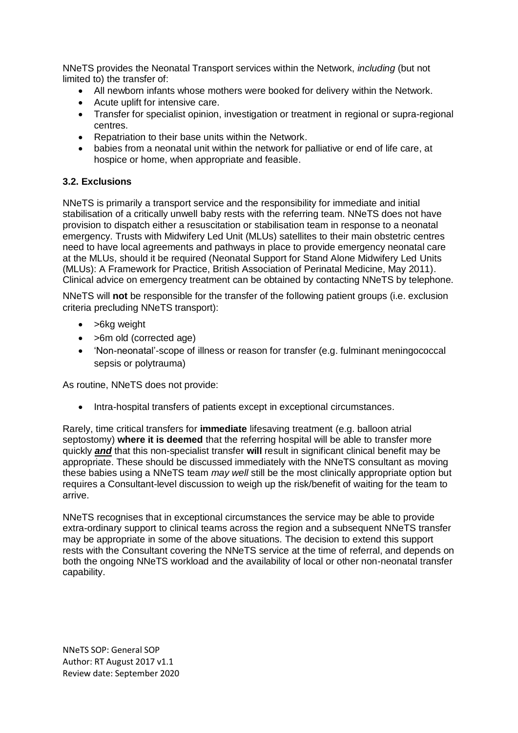NNeTS provides the Neonatal Transport services within the Network, *including* (but not limited to) the transfer of:

- All newborn infants whose mothers were booked for delivery within the Network.
- Acute uplift for intensive care.
- Transfer for specialist opinion, investigation or treatment in regional or supra-regional centres.
- Repatriation to their base units within the Network.
- babies from a neonatal unit within the network for palliative or end of life care, at hospice or home, when appropriate and feasible.

### **3.2. Exclusions**

NNeTS is primarily a transport service and the responsibility for immediate and initial stabilisation of a critically unwell baby rests with the referring team. NNeTS does not have provision to dispatch either a resuscitation or stabilisation team in response to a neonatal emergency. Trusts with Midwifery Led Unit (MLUs) satellites to their main obstetric centres need to have local agreements and pathways in place to provide emergency neonatal care at the MLUs, should it be required (Neonatal Support for Stand Alone Midwifery Led Units (MLUs): A Framework for Practice, British Association of Perinatal Medicine, May 2011). Clinical advice on emergency treatment can be obtained by contacting NNeTS by telephone.

NNeTS will **not** be responsible for the transfer of the following patient groups (i.e. exclusion criteria precluding NNeTS transport):

- >6kg weight
- >6m old (corrected age)
- 'Non-neonatal'-scope of illness or reason for transfer (e.g. fulminant meningococcal sepsis or polytrauma)

As routine, NNeTS does not provide:

• Intra-hospital transfers of patients except in exceptional circumstances.

Rarely, time critical transfers for **immediate** lifesaving treatment (e.g. balloon atrial septostomy) **where it is deemed** that the referring hospital will be able to transfer more quickly *and* that this non-specialist transfer **will** result in significant clinical benefit may be appropriate. These should be discussed immediately with the NNeTS consultant as moving these babies using a NNeTS team *may well* still be the most clinically appropriate option but requires a Consultant-level discussion to weigh up the risk/benefit of waiting for the team to arrive.

NNeTS recognises that in exceptional circumstances the service may be able to provide extra-ordinary support to clinical teams across the region and a subsequent NNeTS transfer may be appropriate in some of the above situations. The decision to extend this support rests with the Consultant covering the NNeTS service at the time of referral, and depends on both the ongoing NNeTS workload and the availability of local or other non-neonatal transfer capability.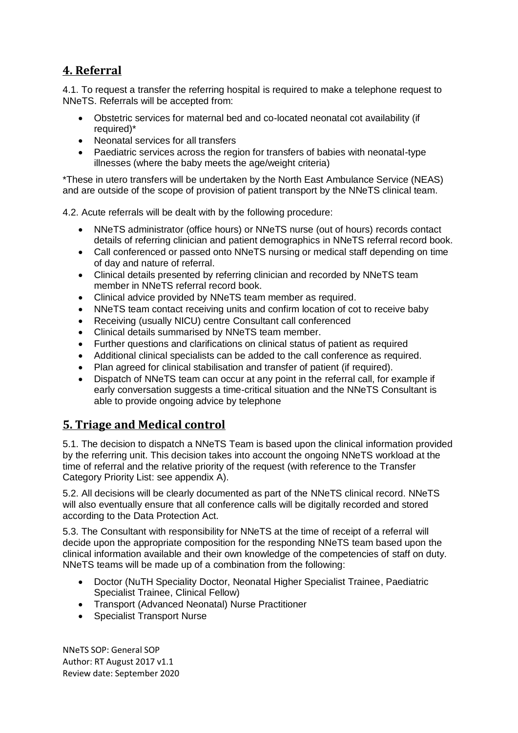# <span id="page-4-0"></span>**4. Referral**

4.1. To request a transfer the referring hospital is required to make a telephone request to NNeTS. Referrals will be accepted from:

- Obstetric services for maternal bed and co-located neonatal cot availability (if required)\*
- Neonatal services for all transfers
- Paediatric services across the region for transfers of babies with neonatal-type illnesses (where the baby meets the age/weight criteria)

\*These in utero transfers will be undertaken by the North East Ambulance Service (NEAS) and are outside of the scope of provision of patient transport by the NNeTS clinical team.

4.2. Acute referrals will be dealt with by the following procedure:

- NNeTS administrator (office hours) or NNeTS nurse (out of hours) records contact details of referring clinician and patient demographics in NNeTS referral record book.
- Call conferenced or passed onto NNeTS nursing or medical staff depending on time of day and nature of referral.
- Clinical details presented by referring clinician and recorded by NNeTS team member in NNeTS referral record book.
- Clinical advice provided by NNeTS team member as required.
- NNeTS team contact receiving units and confirm location of cot to receive baby
- Receiving (usually NICU) centre Consultant call conferenced
- Clinical details summarised by NNeTS team member.
- Further questions and clarifications on clinical status of patient as required
- Additional clinical specialists can be added to the call conference as required.
- Plan agreed for clinical stabilisation and transfer of patient (if required).
- Dispatch of NNeTS team can occur at any point in the referral call, for example if early conversation suggests a time-critical situation and the NNeTS Consultant is able to provide ongoing advice by telephone

# <span id="page-4-1"></span>**5. Triage and Medical control**

5.1. The decision to dispatch a NNeTS Team is based upon the clinical information provided by the referring unit. This decision takes into account the ongoing NNeTS workload at the time of referral and the relative priority of the request (with reference to the Transfer Category Priority List: see appendix A).

5.2. All decisions will be clearly documented as part of the NNeTS clinical record. NNeTS will also eventually ensure that all conference calls will be digitally recorded and stored according to the Data Protection Act.

5.3. The Consultant with responsibility for NNeTS at the time of receipt of a referral will decide upon the appropriate composition for the responding NNeTS team based upon the clinical information available and their own knowledge of the competencies of staff on duty. NNeTS teams will be made up of a combination from the following:

- Doctor (NuTH Speciality Doctor, Neonatal Higher Specialist Trainee, Paediatric Specialist Trainee, Clinical Fellow)
- Transport (Advanced Neonatal) Nurse Practitioner
- Specialist Transport Nurse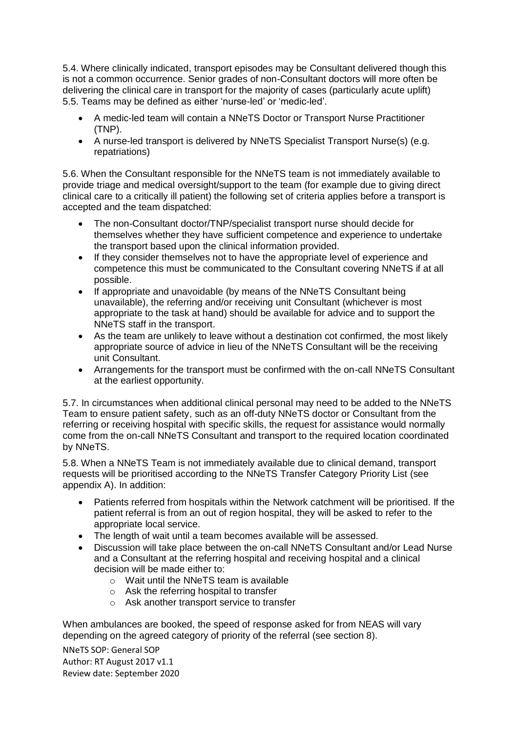5.4. Where clinically indicated, transport episodes may be Consultant delivered though this is not a common occurrence. Senior grades of non-Consultant doctors will more often be delivering the clinical care in transport for the majority of cases (particularly acute uplift) 5.5. Teams may be defined as either 'nurse-led' or 'medic-led'.

- A medic-led team will contain a NNeTS Doctor or Transport Nurse Practitioner (TNP).
- A nurse-led transport is delivered by NNeTS Specialist Transport Nurse(s) (e.g. repatriations)

5.6. When the Consultant responsible for the NNeTS team is not immediately available to provide triage and medical oversight/support to the team (for example due to giving direct clinical care to a critically ill patient) the following set of criteria applies before a transport is accepted and the team dispatched:

- The non-Consultant doctor/TNP/specialist transport nurse should decide for themselves whether they have sufficient competence and experience to undertake the transport based upon the clinical information provided.
- If they consider themselves not to have the appropriate level of experience and competence this must be communicated to the Consultant covering NNeTS if at all possible.
- If appropriate and unavoidable (by means of the NNeTS Consultant being unavailable), the referring and/or receiving unit Consultant (whichever is most appropriate to the task at hand) should be available for advice and to support the NNeTS staff in the transport.
- As the team are unlikely to leave without a destination cot confirmed, the most likely appropriate source of advice in lieu of the NNeTS Consultant will be the receiving unit Consultant.
- Arrangements for the transport must be confirmed with the on-call NNeTS Consultant at the earliest opportunity.

5.7. In circumstances when additional clinical personal may need to be added to the NNeTS Team to ensure patient safety, such as an off-duty NNeTS doctor or Consultant from the referring or receiving hospital with specific skills, the request for assistance would normally come from the on-call NNeTS Consultant and transport to the required location coordinated by NNeTS.

5.8. When a NNeTS Team is not immediately available due to clinical demand, transport requests will be prioritised according to the NNeTS Transfer Category Priority List (see appendix A). In addition:

- Patients referred from hospitals within the Network catchment will be prioritised. If the patient referral is from an out of region hospital, they will be asked to refer to the appropriate local service.
- The length of wait until a team becomes available will be assessed.
- Discussion will take place between the on-call NNeTS Consultant and/or Lead Nurse and a Consultant at the referring hospital and receiving hospital and a clinical decision will be made either to:
	- o Wait until the NNeTS team is available
	- o Ask the referring hospital to transfer
	- o Ask another transport service to transfer

When ambulances are booked, the speed of response asked for from NEAS will vary depending on the agreed category of priority of the referral (see section 8).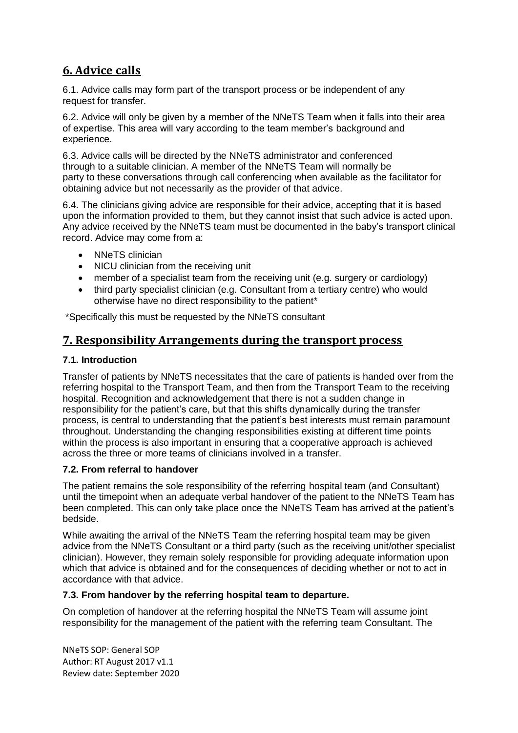# <span id="page-6-0"></span>**6. Advice calls**

6.1. Advice calls may form part of the transport process or be independent of any request for transfer.

6.2. Advice will only be given by a member of the NNeTS Team when it falls into their area of expertise. This area will vary according to the team member's background and experience.

6.3. Advice calls will be directed by the NNeTS administrator and conferenced through to a suitable clinician. A member of the NNeTS Team will normally be party to these conversations through call conferencing when available as the facilitator for obtaining advice but not necessarily as the provider of that advice.

6.4. The clinicians giving advice are responsible for their advice, accepting that it is based upon the information provided to them, but they cannot insist that such advice is acted upon. Any advice received by the NNeTS team must be documented in the baby's transport clinical record. Advice may come from a:

- NNeTS clinician
- NICU clinician from the receiving unit
- member of a specialist team from the receiving unit (e.g. surgery or cardiology)
- third party specialist clinician (e.g. Consultant from a tertiary centre) who would otherwise have no direct responsibility to the patient\*

\*Specifically this must be requested by the NNeTS consultant

## <span id="page-6-1"></span>**7. Responsibility Arrangements during the transport process**

### **7.1. Introduction**

Transfer of patients by NNeTS necessitates that the care of patients is handed over from the referring hospital to the Transport Team, and then from the Transport Team to the receiving hospital. Recognition and acknowledgement that there is not a sudden change in responsibility for the patient's care, but that this shifts dynamically during the transfer process, is central to understanding that the patient's best interests must remain paramount throughout. Understanding the changing responsibilities existing at different time points within the process is also important in ensuring that a cooperative approach is achieved across the three or more teams of clinicians involved in a transfer.

### **7.2. From referral to handover**

The patient remains the sole responsibility of the referring hospital team (and Consultant) until the timepoint when an adequate verbal handover of the patient to the NNeTS Team has been completed. This can only take place once the NNeTS Team has arrived at the patient's bedside.

While awaiting the arrival of the NNeTS Team the referring hospital team may be given advice from the NNeTS Consultant or a third party (such as the receiving unit/other specialist clinician). However, they remain solely responsible for providing adequate information upon which that advice is obtained and for the consequences of deciding whether or not to act in accordance with that advice.

### **7.3. From handover by the referring hospital team to departure.**

On completion of handover at the referring hospital the NNeTS Team will assume joint responsibility for the management of the patient with the referring team Consultant. The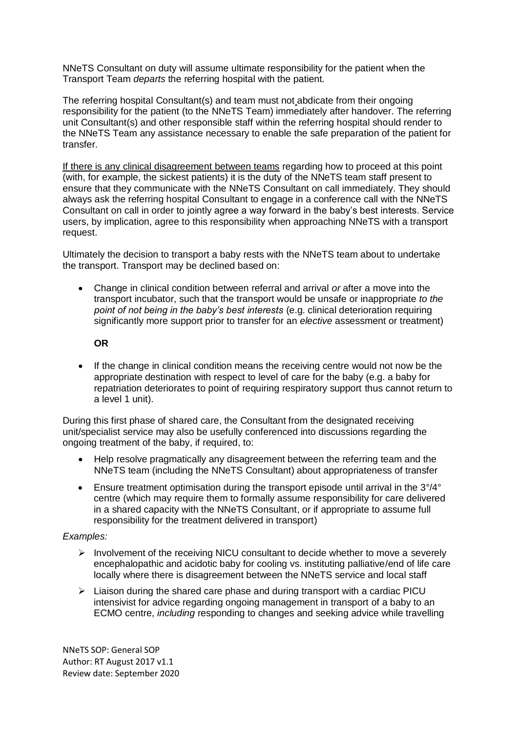NNeTS Consultant on duty will assume ultimate responsibility for the patient when the Transport Team *departs* the referring hospital with the patient.

The referring hospital Consultant(s) and team must not abdicate from their ongoing responsibility for the patient (to the NNeTS Team) immediately after handover. The referring unit Consultant(s) and other responsible staff within the referring hospital should render to the NNeTS Team any assistance necessary to enable the safe preparation of the patient for transfer.

If there is any clinical disagreement between teams regarding how to proceed at this point (with, for example, the sickest patients) it is the duty of the NNeTS team staff present to ensure that they communicate with the NNeTS Consultant on call immediately. They should always ask the referring hospital Consultant to engage in a conference call with the NNeTS Consultant on call in order to jointly agree a way forward in the baby's best interests. Service users, by implication, agree to this responsibility when approaching NNeTS with a transport request.

Ultimately the decision to transport a baby rests with the NNeTS team about to undertake the transport. Transport may be declined based on:

 Change in clinical condition between referral and arrival *or* after a move into the transport incubator, such that the transport would be unsafe or inappropriate *to the point of not being in the baby's best interests* (e.g. clinical deterioration requiring significantly more support prior to transfer for an *elective* assessment or treatment)

#### **OR**

 If the change in clinical condition means the receiving centre would not now be the appropriate destination with respect to level of care for the baby (e.g. a baby for repatriation deteriorates to point of requiring respiratory support thus cannot return to a level 1 unit).

During this first phase of shared care, the Consultant from the designated receiving unit/specialist service may also be usefully conferenced into discussions regarding the ongoing treatment of the baby, if required, to:

- Help resolve pragmatically any disagreement between the referring team and the NNeTS team (including the NNeTS Consultant) about appropriateness of transfer
- Ensure treatment optimisation during the transport episode until arrival in the 3°/4° centre (which may require them to formally assume responsibility for care delivered in a shared capacity with the NNeTS Consultant, or if appropriate to assume full responsibility for the treatment delivered in transport)

### *Examples:*

- $\triangleright$  Involvement of the receiving NICU consultant to decide whether to move a severely encephalopathic and acidotic baby for cooling vs. instituting palliative/end of life care locally where there is disagreement between the NNeTS service and local staff
- $\triangleright$  Liaison during the shared care phase and during transport with a cardiac PICU intensivist for advice regarding ongoing management in transport of a baby to an ECMO centre, *including* responding to changes and seeking advice while travelling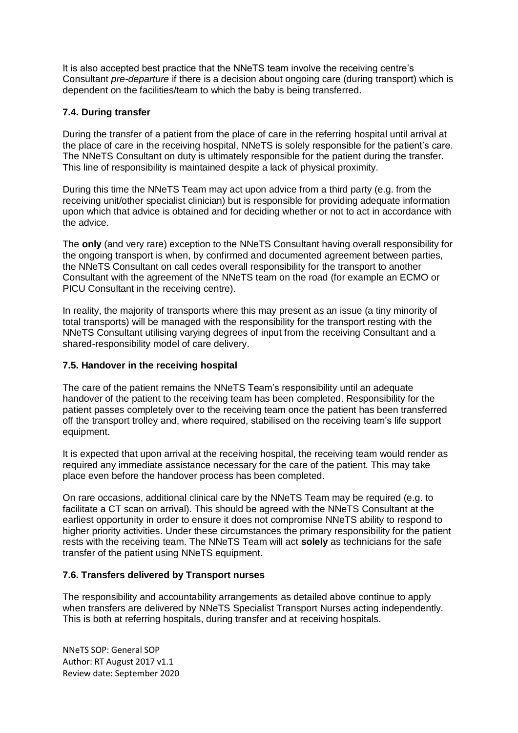It is also accepted best practice that the NNeTS team involve the receiving centre's Consultant *pre-departure* if there is a decision about ongoing care (during transport) which is dependent on the facilities/team to which the baby is being transferred.

### **7.4. During transfer**

During the transfer of a patient from the place of care in the referring hospital until arrival at the place of care in the receiving hospital, NNeTS is solely responsible for the patient's care. The NNeTS Consultant on duty is ultimately responsible for the patient during the transfer. This line of responsibility is maintained despite a lack of physical proximity.

During this time the NNeTS Team may act upon advice from a third party (e.g. from the receiving unit/other specialist clinician) but is responsible for providing adequate information upon which that advice is obtained and for deciding whether or not to act in accordance with the advice.

The **only** (and very rare) exception to the NNeTS Consultant having overall responsibility for the ongoing transport is when, by confirmed and documented agreement between parties, the NNeTS Consultant on call cedes overall responsibility for the transport to another Consultant with the agreement of the NNeTS team on the road (for example an ECMO or PICU Consultant in the receiving centre).

In reality, the majority of transports where this may present as an issue (a tiny minority of total transports) will be managed with the responsibility for the transport resting with the NNeTS Consultant utilising varying degrees of input from the receiving Consultant and a shared-responsibility model of care delivery.

### **7.5. Handover in the receiving hospital**

The care of the patient remains the NNeTS Team's responsibility until an adequate handover of the patient to the receiving team has been completed. Responsibility for the patient passes completely over to the receiving team once the patient has been transferred off the transport trolley and, where required, stabilised on the receiving team's life support equipment.

It is expected that upon arrival at the receiving hospital, the receiving team would render as required any immediate assistance necessary for the care of the patient. This may take place even before the handover process has been completed.

On rare occasions, additional clinical care by the NNeTS Team may be required (e.g. to facilitate a CT scan on arrival). This should be agreed with the NNeTS Consultant at the earliest opportunity in order to ensure it does not compromise NNeTS ability to respond to higher priority activities. Under these circumstances the primary responsibility for the patient rests with the receiving team. The NNeTS Team will act **solely** as technicians for the safe transfer of the patient using NNeTS equipment.

### **7.6. Transfers delivered by Transport nurses**

The responsibility and accountability arrangements as detailed above continue to apply when transfers are delivered by NNeTS Specialist Transport Nurses acting independently. This is both at referring hospitals, during transfer and at receiving hospitals.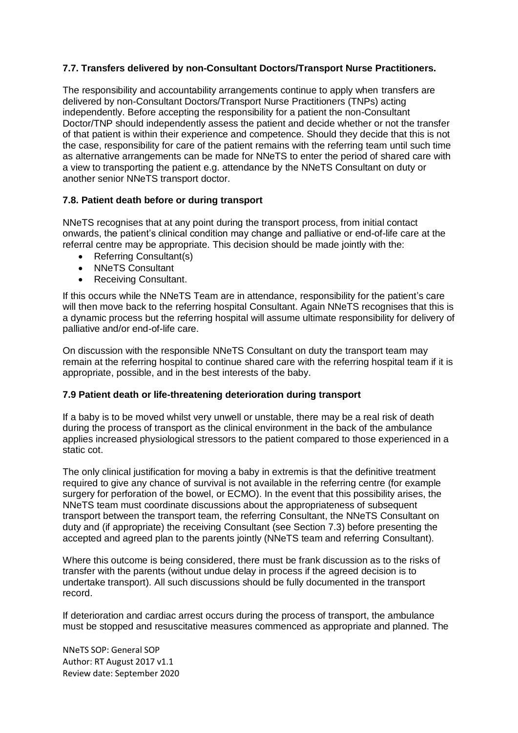### **7.7. Transfers delivered by non-Consultant Doctors/Transport Nurse Practitioners.**

The responsibility and accountability arrangements continue to apply when transfers are delivered by non-Consultant Doctors/Transport Nurse Practitioners (TNPs) acting independently. Before accepting the responsibility for a patient the non-Consultant Doctor/TNP should independently assess the patient and decide whether or not the transfer of that patient is within their experience and competence. Should they decide that this is not the case, responsibility for care of the patient remains with the referring team until such time as alternative arrangements can be made for NNeTS to enter the period of shared care with a view to transporting the patient e.g. attendance by the NNeTS Consultant on duty or another senior NNeTS transport doctor.

### **7.8. Patient death before or during transport**

NNeTS recognises that at any point during the transport process, from initial contact onwards, the patient's clinical condition may change and palliative or end-of-life care at the referral centre may be appropriate. This decision should be made jointly with the:

- Referring Consultant(s)
- NNeTS Consultant
- Receiving Consultant.

If this occurs while the NNeTS Team are in attendance, responsibility for the patient's care will then move back to the referring hospital Consultant. Again NNeTS recognises that this is a dynamic process but the referring hospital will assume ultimate responsibility for delivery of palliative and/or end-of-life care.

On discussion with the responsible NNeTS Consultant on duty the transport team may remain at the referring hospital to continue shared care with the referring hospital team if it is appropriate, possible, and in the best interests of the baby.

### **7.9 Patient death or life-threatening deterioration during transport**

If a baby is to be moved whilst very unwell or unstable, there may be a real risk of death during the process of transport as the clinical environment in the back of the ambulance applies increased physiological stressors to the patient compared to those experienced in a static cot.

The only clinical justification for moving a baby in extremis is that the definitive treatment required to give any chance of survival is not available in the referring centre (for example surgery for perforation of the bowel, or ECMO). In the event that this possibility arises, the NNeTS team must coordinate discussions about the appropriateness of subsequent transport between the transport team, the referring Consultant, the NNeTS Consultant on duty and (if appropriate) the receiving Consultant (see Section 7.3) before presenting the accepted and agreed plan to the parents jointly (NNeTS team and referring Consultant).

Where this outcome is being considered, there must be frank discussion as to the risks of transfer with the parents (without undue delay in process if the agreed decision is to undertake transport). All such discussions should be fully documented in the transport record.

If deterioration and cardiac arrest occurs during the process of transport, the ambulance must be stopped and resuscitative measures commenced as appropriate and planned. The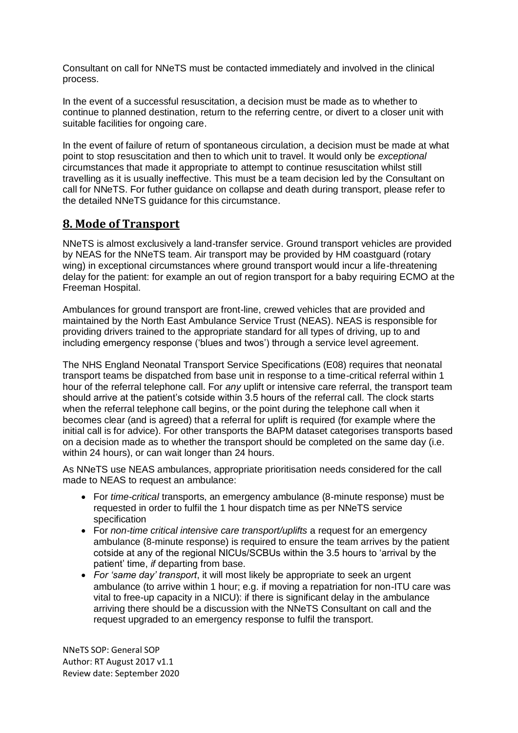Consultant on call for NNeTS must be contacted immediately and involved in the clinical process.

In the event of a successful resuscitation, a decision must be made as to whether to continue to planned destination, return to the referring centre, or divert to a closer unit with suitable facilities for ongoing care.

In the event of failure of return of spontaneous circulation, a decision must be made at what point to stop resuscitation and then to which unit to travel. It would only be *exceptional* circumstances that made it appropriate to attempt to continue resuscitation whilst still travelling as it is usually ineffective. This must be a team decision led by the Consultant on call for NNeTS. For futher guidance on collapse and death during transport, please refer to the detailed NNeTS guidance for this circumstance.

# <span id="page-10-0"></span>**8. Mode of Transport**

NNeTS is almost exclusively a land-transfer service. Ground transport vehicles are provided by NEAS for the NNeTS team. Air transport may be provided by HM coastguard (rotary wing) in exceptional circumstances where ground transport would incur a life-threatening delay for the patient: for example an out of region transport for a baby requiring ECMO at the Freeman Hospital.

Ambulances for ground transport are front-line, crewed vehicles that are provided and maintained by the North East Ambulance Service Trust (NEAS). NEAS is responsible for providing drivers trained to the appropriate standard for all types of driving, up to and including emergency response ('blues and twos') through a service level agreement.

The NHS England Neonatal Transport Service Specifications (E08) requires that neonatal transport teams be dispatched from base unit in response to a time-critical referral within 1 hour of the referral telephone call. For *any* uplift or intensive care referral, the transport team should arrive at the patient's cotside within 3.5 hours of the referral call. The clock starts when the referral telephone call begins, or the point during the telephone call when it becomes clear (and is agreed) that a referral for uplift is required (for example where the initial call is for advice). For other transports the BAPM dataset categorises transports based on a decision made as to whether the transport should be completed on the same day (i.e. within 24 hours), or can wait longer than 24 hours.

As NNeTS use NEAS ambulances, appropriate prioritisation needs considered for the call made to NEAS to request an ambulance:

- For *time-critical* transports, an emergency ambulance (8-minute response) must be requested in order to fulfil the 1 hour dispatch time as per NNeTS service specification
- For *non-time critical intensive care transport/uplifts* a request for an emergency ambulance (8-minute response) is required to ensure the team arrives by the patient cotside at any of the regional NICUs/SCBUs within the 3.5 hours to 'arrival by the patient' time, *if* departing from base.
- *For 'same day' transport*, it will most likely be appropriate to seek an urgent ambulance (to arrive within 1 hour; e.g. if moving a repatriation for non-ITU care was vital to free-up capacity in a NICU): if there is significant delay in the ambulance arriving there should be a discussion with the NNeTS Consultant on call and the request upgraded to an emergency response to fulfil the transport.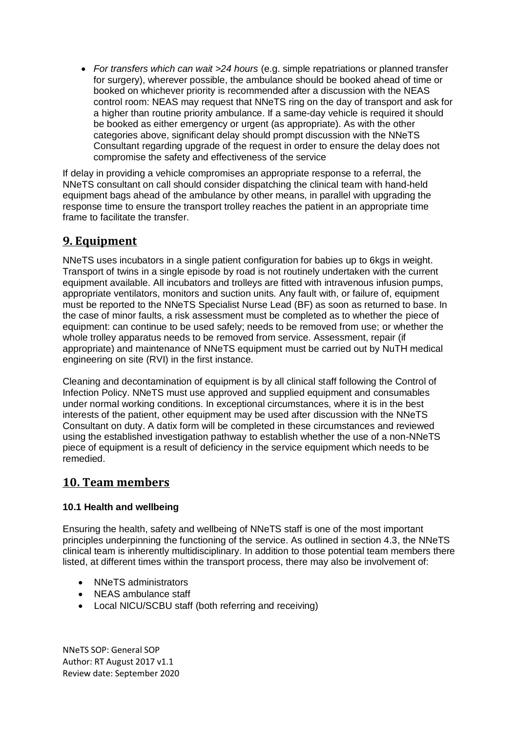*For transfers which can wait >24 hours* (e.g. simple repatriations or planned transfer for surgery), wherever possible, the ambulance should be booked ahead of time or booked on whichever priority is recommended after a discussion with the NEAS control room: NEAS may request that NNeTS ring on the day of transport and ask for a higher than routine priority ambulance. If a same-day vehicle is required it should be booked as either emergency or urgent (as appropriate). As with the other categories above, significant delay should prompt discussion with the NNeTS Consultant regarding upgrade of the request in order to ensure the delay does not compromise the safety and effectiveness of the service

If delay in providing a vehicle compromises an appropriate response to a referral, the NNeTS consultant on call should consider dispatching the clinical team with hand-held equipment bags ahead of the ambulance by other means, in parallel with upgrading the response time to ensure the transport trolley reaches the patient in an appropriate time frame to facilitate the transfer.

# <span id="page-11-0"></span>**9. Equipment**

NNeTS uses incubators in a single patient configuration for babies up to 6kgs in weight. Transport of twins in a single episode by road is not routinely undertaken with the current equipment available. All incubators and trolleys are fitted with intravenous infusion pumps, appropriate ventilators, monitors and suction units. Any fault with, or failure of, equipment must be reported to the NNeTS Specialist Nurse Lead (BF) as soon as returned to base. In the case of minor faults, a risk assessment must be completed as to whether the piece of equipment: can continue to be used safely; needs to be removed from use; or whether the whole trolley apparatus needs to be removed from service. Assessment, repair (if appropriate) and maintenance of NNeTS equipment must be carried out by NuTH medical engineering on site (RVI) in the first instance.

Cleaning and decontamination of equipment is by all clinical staff following the Control of Infection Policy. NNeTS must use approved and supplied equipment and consumables under normal working conditions. In exceptional circumstances, where it is in the best interests of the patient, other equipment may be used after discussion with the NNeTS Consultant on duty. A datix form will be completed in these circumstances and reviewed using the established investigation pathway to establish whether the use of a non-NNeTS piece of equipment is a result of deficiency in the service equipment which needs to be remedied.

# <span id="page-11-1"></span>**10. Team members**

## **10.1 Health and wellbeing**

Ensuring the health, safety and wellbeing of NNeTS staff is one of the most important principles underpinning the functioning of the service. As outlined in section 4.3, the NNeTS clinical team is inherently multidisciplinary. In addition to those potential team members there listed, at different times within the transport process, there may also be involvement of:

- NNeTS administrators
- NEAS ambulance staff
- Local NICU/SCBU staff (both referring and receiving)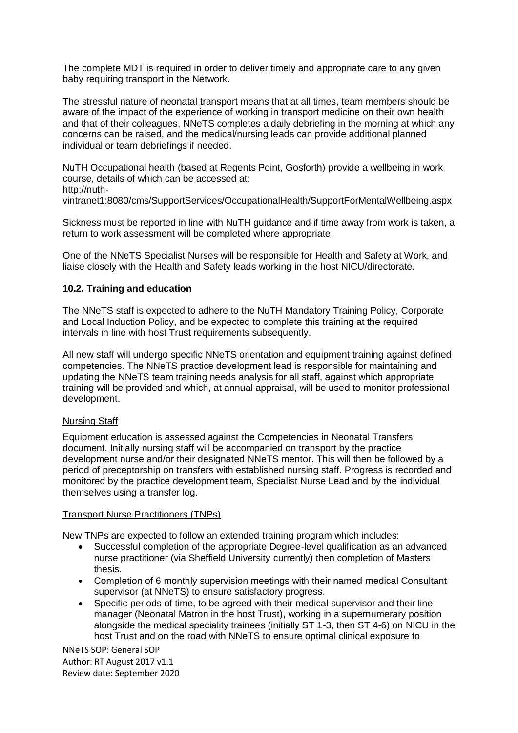The complete MDT is required in order to deliver timely and appropriate care to any given baby requiring transport in the Network.

The stressful nature of neonatal transport means that at all times, team members should be aware of the impact of the experience of working in transport medicine on their own health and that of their colleagues. NNeTS completes a daily debriefing in the morning at which any concerns can be raised, and the medical/nursing leads can provide additional planned individual or team debriefings if needed.

NuTH Occupational health (based at Regents Point, Gosforth) provide a wellbeing in work course, details of which can be accessed at:

http://nuth-

vintranet1:8080/cms/SupportServices/OccupationalHealth/SupportForMentalWellbeing.aspx

Sickness must be reported in line with NuTH guidance and if time away from work is taken, a return to work assessment will be completed where appropriate.

One of the NNeTS Specialist Nurses will be responsible for Health and Safety at Work, and liaise closely with the Health and Safety leads working in the host NICU/directorate.

### **10.2. Training and education**

The NNeTS staff is expected to adhere to the NuTH Mandatory Training Policy, Corporate and Local Induction Policy, and be expected to complete this training at the required intervals in line with host Trust requirements subsequently.

All new staff will undergo specific NNeTS orientation and equipment training against defined competencies. The NNeTS practice development lead is responsible for maintaining and updating the NNeTS team training needs analysis for all staff, against which appropriate training will be provided and which, at annual appraisal, will be used to monitor professional development.

#### Nursing Staff

Equipment education is assessed against the Competencies in Neonatal Transfers document. Initially nursing staff will be accompanied on transport by the practice development nurse and/or their designated NNeTS mentor. This will then be followed by a period of preceptorship on transfers with established nursing staff. Progress is recorded and monitored by the practice development team, Specialist Nurse Lead and by the individual themselves using a transfer log.

#### Transport Nurse Practitioners (TNPs)

New TNPs are expected to follow an extended training program which includes:

- Successful completion of the appropriate Degree-level qualification as an advanced nurse practitioner (via Sheffield University currently) then completion of Masters thesis.
- Completion of 6 monthly supervision meetings with their named medical Consultant supervisor (at NNeTS) to ensure satisfactory progress.
- Specific periods of time, to be agreed with their medical supervisor and their line manager (Neonatal Matron in the host Trust), working in a supernumerary position alongside the medical speciality trainees (initially ST 1-3, then ST 4-6) on NICU in the host Trust and on the road with NNeTS to ensure optimal clinical exposure to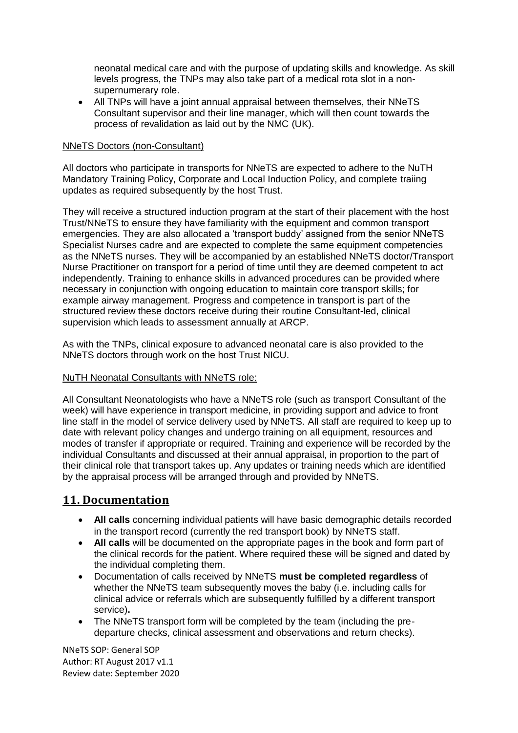neonatal medical care and with the purpose of updating skills and knowledge. As skill levels progress, the TNPs may also take part of a medical rota slot in a nonsupernumerary role.

 All TNPs will have a joint annual appraisal between themselves, their NNeTS Consultant supervisor and their line manager, which will then count towards the process of revalidation as laid out by the NMC (UK).

### NNeTS Doctors (non-Consultant)

All doctors who participate in transports for NNeTS are expected to adhere to the NuTH Mandatory Training Policy, Corporate and Local Induction Policy, and complete traiing updates as required subsequently by the host Trust.

They will receive a structured induction program at the start of their placement with the host Trust/NNeTS to ensure they have familiarity with the equipment and common transport emergencies. They are also allocated a 'transport buddy' assigned from the senior NNeTS Specialist Nurses cadre and are expected to complete the same equipment competencies as the NNeTS nurses. They will be accompanied by an established NNeTS doctor/Transport Nurse Practitioner on transport for a period of time until they are deemed competent to act independently. Training to enhance skills in advanced procedures can be provided where necessary in conjunction with ongoing education to maintain core transport skills; for example airway management. Progress and competence in transport is part of the structured review these doctors receive during their routine Consultant-led, clinical supervision which leads to assessment annually at ARCP.

As with the TNPs, clinical exposure to advanced neonatal care is also provided to the NNeTS doctors through work on the host Trust NICU.

### NuTH Neonatal Consultants with NNeTS role:

All Consultant Neonatologists who have a NNeTS role (such as transport Consultant of the week) will have experience in transport medicine, in providing support and advice to front line staff in the model of service delivery used by NNeTS. All staff are required to keep up to date with relevant policy changes and undergo training on all equipment, resources and modes of transfer if appropriate or required. Training and experience will be recorded by the individual Consultants and discussed at their annual appraisal, in proportion to the part of their clinical role that transport takes up. Any updates or training needs which are identified by the appraisal process will be arranged through and provided by NNeTS.

# <span id="page-13-0"></span>**11. Documentation**

- **All calls** concerning individual patients will have basic demographic details recorded in the transport record (currently the red transport book) by NNeTS staff.
- **All calls** will be documented on the appropriate pages in the book and form part of the clinical records for the patient. Where required these will be signed and dated by the individual completing them.
- Documentation of calls received by NNeTS **must be completed regardless** of whether the NNeTS team subsequently moves the baby (i.e. including calls for clinical advice or referrals which are subsequently fulfilled by a different transport service)**.**
- The NNeTS transport form will be completed by the team (including the predeparture checks, clinical assessment and observations and return checks).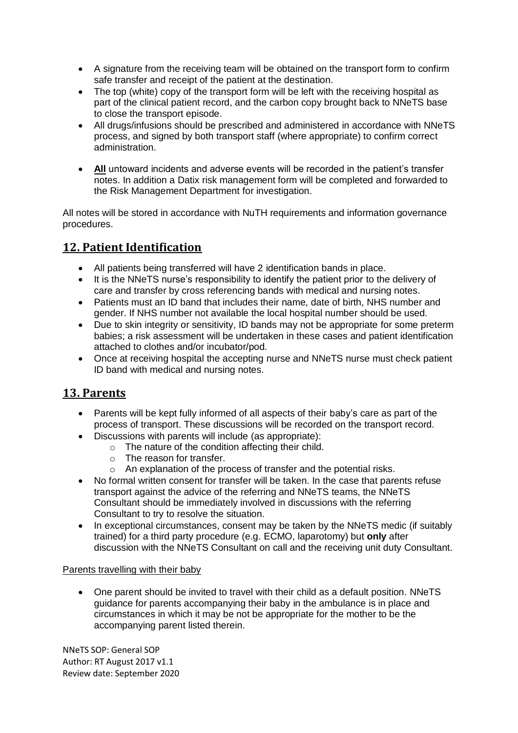- A signature from the receiving team will be obtained on the transport form to confirm safe transfer and receipt of the patient at the destination.
- The top (white) copy of the transport form will be left with the receiving hospital as part of the clinical patient record, and the carbon copy brought back to NNeTS base to close the transport episode.
- All drugs/infusions should be prescribed and administered in accordance with NNeTS process, and signed by both transport staff (where appropriate) to confirm correct administration.
- **All** untoward incidents and adverse events will be recorded in the patient's transfer notes. In addition a Datix risk management form will be completed and forwarded to the Risk Management Department for investigation.

All notes will be stored in accordance with NuTH requirements and information governance procedures.

# <span id="page-14-0"></span>**12. Patient Identification**

- All patients being transferred will have 2 identification bands in place.
- It is the NNeTS nurse's responsibility to identify the patient prior to the delivery of care and transfer by cross referencing bands with medical and nursing notes.
- Patients must an ID band that includes their name, date of birth, NHS number and gender. If NHS number not available the local hospital number should be used.
- Due to skin integrity or sensitivity, ID bands may not be appropriate for some preterm babies; a risk assessment will be undertaken in these cases and patient identification attached to clothes and/or incubator/pod.
- Once at receiving hospital the accepting nurse and NNeTS nurse must check patient ID band with medical and nursing notes.

# <span id="page-14-1"></span>**13. Parents**

- Parents will be kept fully informed of all aspects of their baby's care as part of the process of transport. These discussions will be recorded on the transport record.
- Discussions with parents will include (as appropriate):
	- o The nature of the condition affecting their child.
	- o The reason for transfer.
	- $\circ$  An explanation of the process of transfer and the potential risks.
- No formal written consent for transfer will be taken. In the case that parents refuse transport against the advice of the referring and NNeTS teams, the NNeTS Consultant should be immediately involved in discussions with the referring Consultant to try to resolve the situation.
- In exceptional circumstances, consent may be taken by the NNeTS medic (if suitably trained) for a third party procedure (e.g. ECMO, laparotomy) but **only** after discussion with the NNeTS Consultant on call and the receiving unit duty Consultant.

### Parents travelling with their baby

 One parent should be invited to travel with their child as a default position. NNeTS guidance for parents accompanying their baby in the ambulance is in place and circumstances in which it may be not be appropriate for the mother to be the accompanying parent listed therein.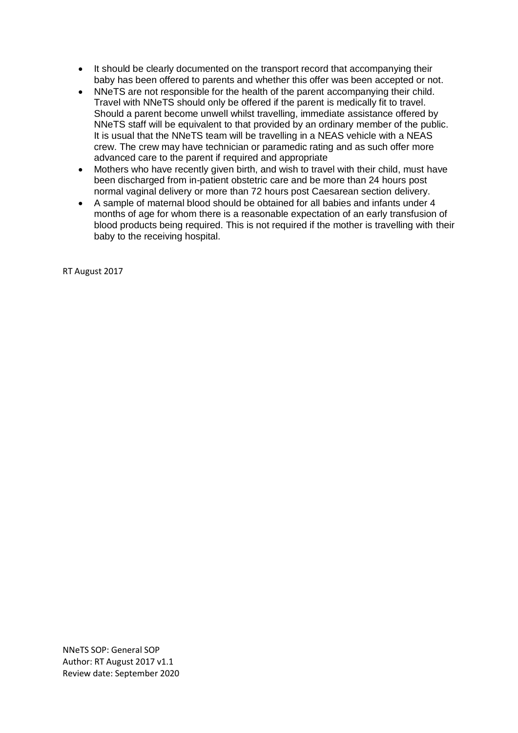- It should be clearly documented on the transport record that accompanying their baby has been offered to parents and whether this offer was been accepted or not.
- NNeTS are not responsible for the health of the parent accompanying their child. Travel with NNeTS should only be offered if the parent is medically fit to travel. Should a parent become unwell whilst travelling, immediate assistance offered by NNeTS staff will be equivalent to that provided by an ordinary member of the public. It is usual that the NNeTS team will be travelling in a NEAS vehicle with a NEAS crew. The crew may have technician or paramedic rating and as such offer more advanced care to the parent if required and appropriate
- Mothers who have recently given birth, and wish to travel with their child, must have been discharged from in-patient obstetric care and be more than 24 hours post normal vaginal delivery or more than 72 hours post Caesarean section delivery.
- A sample of maternal blood should be obtained for all babies and infants under 4 months of age for whom there is a reasonable expectation of an early transfusion of blood products being required. This is not required if the mother is travelling with their baby to the receiving hospital.

RT August 2017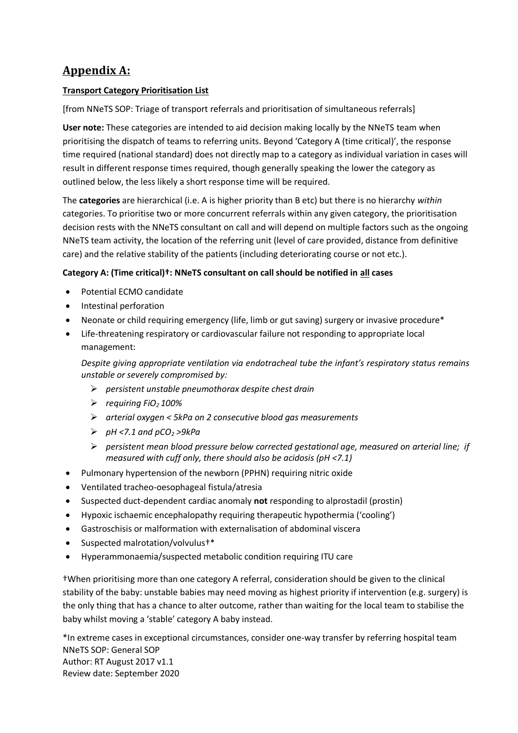# <span id="page-16-0"></span>**Appendix A:**

## **Transport Category Prioritisation List**

[from NNeTS SOP: Triage of transport referrals and prioritisation of simultaneous referrals]

**User note:** These categories are intended to aid decision making locally by the NNeTS team when prioritising the dispatch of teams to referring units. Beyond 'Category A (time critical)', the response time required (national standard) does not directly map to a category as individual variation in cases will result in different response times required, though generally speaking the lower the category as outlined below, the less likely a short response time will be required.

The **categories** are hierarchical (i.e. A is higher priority than B etc) but there is no hierarchy *within* categories. To prioritise two or more concurrent referrals within any given category, the prioritisation decision rests with the NNeTS consultant on call and will depend on multiple factors such as the ongoing NNeTS team activity, the location of the referring unit (level of care provided, distance from definitive care) and the relative stability of the patients (including deteriorating course or not etc.).

### **Category A: (Time critical)†: NNeTS consultant on call should be notified in all cases**

- Potential ECMO candidate
- Intestinal perforation
- Neonate or child requiring emergency (life, limb or gut saving) surgery or invasive procedure\*
- Life-threatening respiratory or cardiovascular failure not responding to appropriate local management:

*Despite giving appropriate ventilation via endotracheal tube the infant's respiratory status remains unstable or severely compromised by:* 

- *persistent unstable pneumothorax despite chest drain*
- *requiring FiO2 100%*
- *arterial oxygen < 5kPa on 2 consecutive blood gas measurements*
- $P$  *pH <7.1 and pCO<sub>2</sub> >9kPa*
- *persistent mean blood pressure below corrected gestational age, measured on arterial line; if measured with cuff only, there should also be acidosis (pH <7.1)*
- Pulmonary hypertension of the newborn (PPHN) requiring nitric oxide
- Ventilated tracheo-oesophageal fistula/atresia
- Suspected duct-dependent cardiac anomaly **not** responding to alprostadil (prostin)
- Hypoxic ischaemic encephalopathy requiring therapeutic hypothermia ('cooling')
- Gastroschisis or malformation with externalisation of abdominal viscera
- Suspected malrotation/volvulus†\*
- Hyperammonaemia/suspected metabolic condition requiring ITU care

†When prioritising more than one category A referral, consideration should be given to the clinical stability of the baby: unstable babies may need moving as highest priority if intervention (e.g. surgery) is the only thing that has a chance to alter outcome, rather than waiting for the local team to stabilise the baby whilst moving a 'stable' category A baby instead.

NNeTS SOP: General SOP Author: RT August 2017 v1.1 Review date: September 2020 \*In extreme cases in exceptional circumstances, consider one-way transfer by referring hospital team